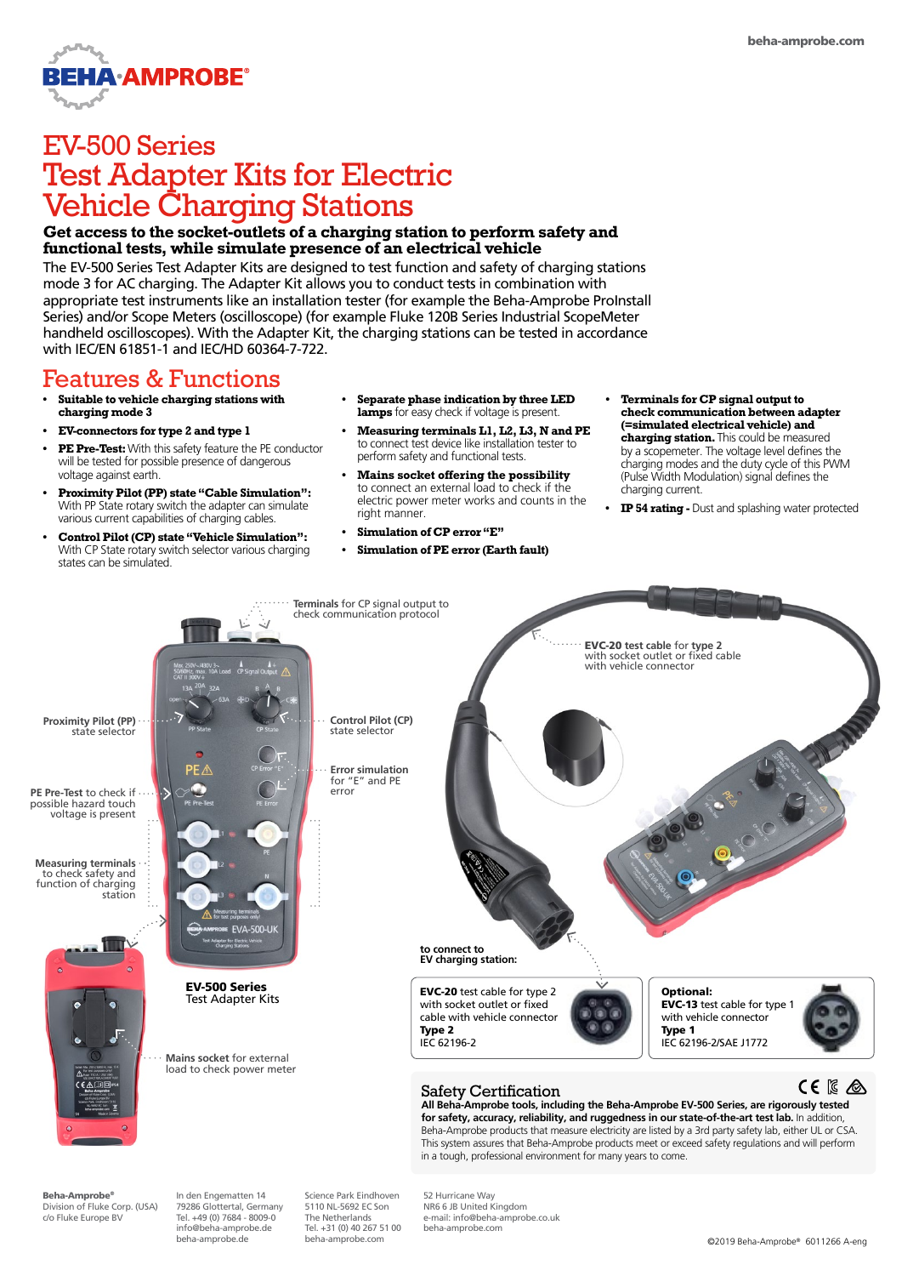

# EV-500 Series Test Adapter Kits for Electric Vehicle Charging Stations

### **Get access to the socket-outlets of a charging station to perform safety and functional tests, while simulate presence of an electrical vehicle**

The EV-500 Series Test Adapter Kits are designed to test function and safety of charging stations mode 3 for AC charging. The Adapter Kit allows you to conduct tests in combination with appropriate test instruments like an installation tester (for example the Beha-Amprobe ProInstall Series) and/or Scope Meters (oscilloscope) (for example Fluke 120B Series Industrial ScopeMeter handheld oscilloscopes). With the Adapter Kit, the charging stations can be tested in accordance with IEC/EN 61851-1 and IEC/HD 60364-7-722.

## Features & Functions

- **• Suitable to vehicle charging stations with charging mode 3**
- **• EV-connectors for type 2 and type 1**
- **• PE Pre-Test:** With this safety feature the PE conductor will be tested for possible presence of dangerous voltage against earth.
- **• Proximity Pilot (PP) state "Cable Simulation":**  With PP State rotary switch the adapter can simulate various current capabilities of charging cables.
- **• Control Pilot (CP) state "Vehicle Simulation":**  With CP State rotary switch selector various charging states can be simulated.
- **• Separate phase indication by three LED lamps** for easy check if voltage is present.
- **• Measuring terminals L1, L2, L3, N and PE**  to connect test device like installation tester to perform safety and functional tests.
- **• Mains socket offering the possibility**  to connect an external load to check if the electric power meter works and counts in the right manner.
- **• Simulation of CP error "E"**
- **• Simulation of PE error (Earth fault)**
- **• Terminals for CP signal output to check communication between adapter (=simulated electrical vehicle) and charging station.** This could be measured by a scopemeter. The voltage level defines the charging modes and the duty cycle of this PWM (Pulse Width Modulation) signal defines the charging current.
- **• IP 54 rating** Dust and splashing water protected



Beha-Amprobe® Division of Fluke Corp. (USA) c/o Fluke Europe BV

In den Engematten 14 79286 Glottertal, Germany Tel. +49 (0) 7684 - 8009-0 info@beha-amprobe.de beha-amprobe.de

Science Park Eindhoven 5110 NL-5692 EC Son The Netherlands Tel. +31 (0) 40 267 51 00

52 Hurricane Way NR6 6 JB United Kingdom e-mail: info@beha-amprobe.co.uk beha-amprobe.com

beha-amprobe.com ©2019 Beha-Amprobe® 6011266 A-eng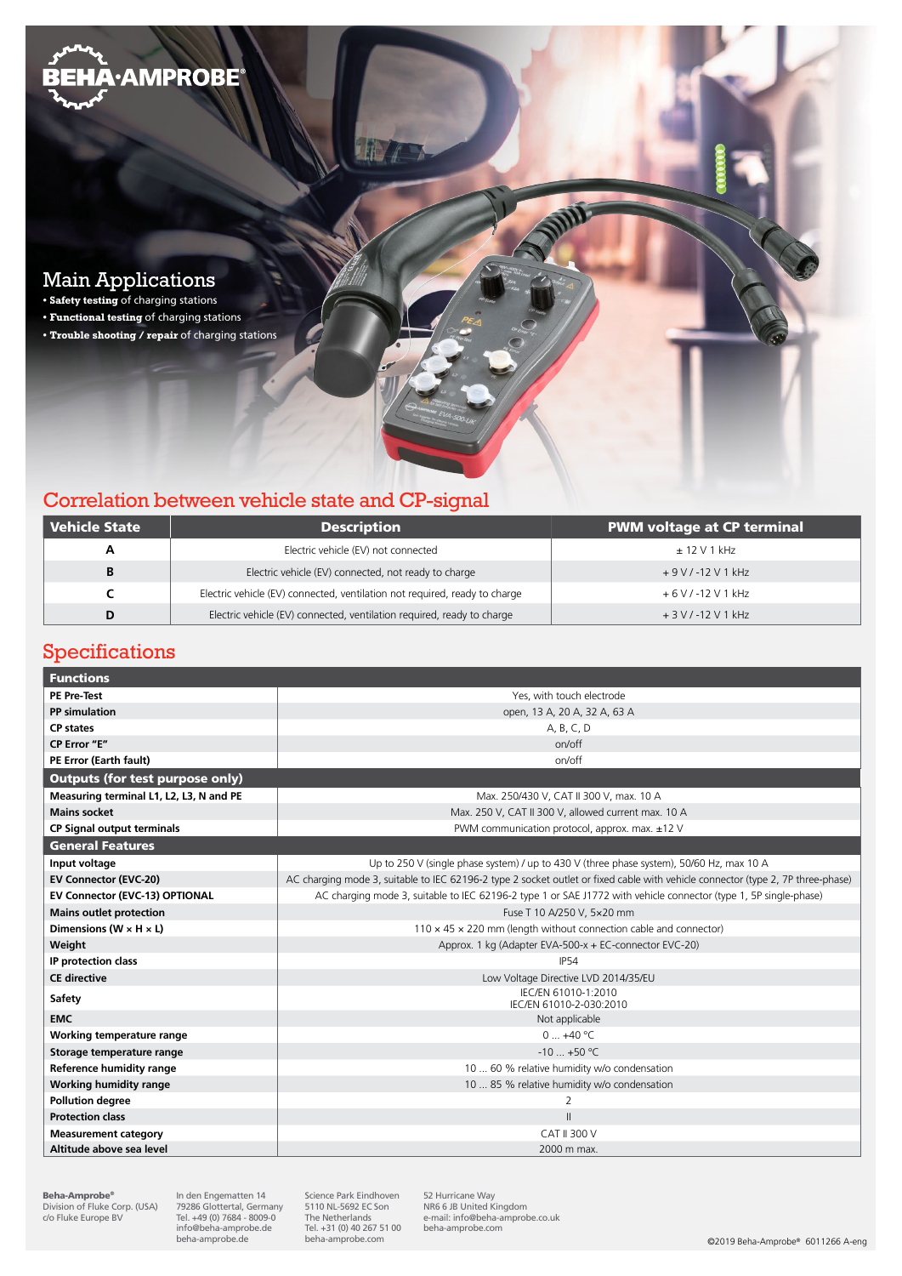

## Correlation between vehicle state and CP-signal

| Vehicle State | <b>Description</b>                                                         | <b>PWM voltage at CP terminal</b> |
|---------------|----------------------------------------------------------------------------|-----------------------------------|
| A             | Electric vehicle (EV) not connected                                        | $\pm$ 12 V 1 kHz                  |
| B             | Electric vehicle (EV) connected, not ready to charge                       | $+9$ V / -12 V 1 kHz              |
|               | Electric vehicle (EV) connected, ventilation not required, ready to charge | $+6$ V / -12 V 1 kHz              |
| D             | Electric vehicle (EV) connected, ventilation required, ready to charge     | $+3$ V / -12 V 1 kHz              |

### Specifications

| <b>Functions</b>                        |                                                                                                                                 |  |  |  |
|-----------------------------------------|---------------------------------------------------------------------------------------------------------------------------------|--|--|--|
| <b>PE Pre-Test</b>                      | Yes, with touch electrode                                                                                                       |  |  |  |
| PP simulation                           | open, 13 A, 20 A, 32 A, 63 A                                                                                                    |  |  |  |
| <b>CP</b> states                        | A, B, C, D                                                                                                                      |  |  |  |
| CP Error "E"                            | on/off                                                                                                                          |  |  |  |
| PE Error (Earth fault)                  | on/off                                                                                                                          |  |  |  |
| <b>Outputs (for test purpose only)</b>  |                                                                                                                                 |  |  |  |
| Measuring terminal L1, L2, L3, N and PE | Max. 250/430 V, CAT II 300 V, max. 10 A                                                                                         |  |  |  |
| <b>Mains socket</b>                     | Max. 250 V, CAT II 300 V, allowed current max. 10 A                                                                             |  |  |  |
| <b>CP Signal output terminals</b>       | PWM communication protocol, approx. max. ±12 V                                                                                  |  |  |  |
| <b>General Features</b>                 |                                                                                                                                 |  |  |  |
| Input voltage                           | Up to 250 V (single phase system) / up to 430 V (three phase system), 50/60 Hz, max 10 A                                        |  |  |  |
| <b>EV Connector (EVC-20)</b>            | AC charging mode 3, suitable to IEC 62196-2 type 2 socket outlet or fixed cable with vehicle connector (type 2, 7P three-phase) |  |  |  |
| EV Connector (EVC-13) OPTIONAL          | AC charging mode 3, suitable to IEC 62196-2 type 1 or SAE J1772 with vehicle connector (type 1, 5P single-phase)                |  |  |  |
| <b>Mains outlet protection</b>          | Fuse T 10 A/250 V, 5x20 mm                                                                                                      |  |  |  |
| Dimensions (W $\times$ H $\times$ L)    | $110 \times 45 \times 220$ mm (length without connection cable and connector)                                                   |  |  |  |
| Weight                                  | Approx. 1 kg (Adapter EVA-500-x + EC-connector EVC-20)                                                                          |  |  |  |
| IP protection class                     | <b>IP54</b>                                                                                                                     |  |  |  |
| <b>CE</b> directive                     | Low Voltage Directive LVD 2014/35/EU                                                                                            |  |  |  |
| Safety                                  | IEC/EN 61010-1:2010<br>IEC/EN 61010-2-030:2010                                                                                  |  |  |  |
| <b>EMC</b>                              | Not applicable                                                                                                                  |  |  |  |
| Working temperature range               | $0+40 °C$                                                                                                                       |  |  |  |
| Storage temperature range               | $-10$ +50 °C                                                                                                                    |  |  |  |
| <b>Reference humidity range</b>         | 10  60 % relative humidity w/o condensation                                                                                     |  |  |  |
| <b>Working humidity range</b>           | 10  85 % relative humidity w/o condensation                                                                                     |  |  |  |
| <b>Pollution degree</b>                 | 2                                                                                                                               |  |  |  |
| <b>Protection class</b>                 | $\mathbf{II}$                                                                                                                   |  |  |  |
| <b>Measurement category</b>             | CAT II 300 V                                                                                                                    |  |  |  |
| Altitude above sea level                | 2000 m max.                                                                                                                     |  |  |  |

**Beha-Amprobe®**<br>Division of Fluke Corp. (USA)<br>c/o Fluke Europe BV

In den Engematten 14 79286 Glottertal, Germany Tel. +49 (0) 7684 - 8009-0 info@beha-amprobe.de beha-amprobe.de

Science Park Eindhoven 5110 NL-5692 EC Son The Netherlands Tel. +31 (0) 40 267 51 00<br>beha-amprobe.com

52 Hurricane Way NR6 6 JB United Kingdom e-mail: info@beha-amprobe.co.uk beha-amprobe.com